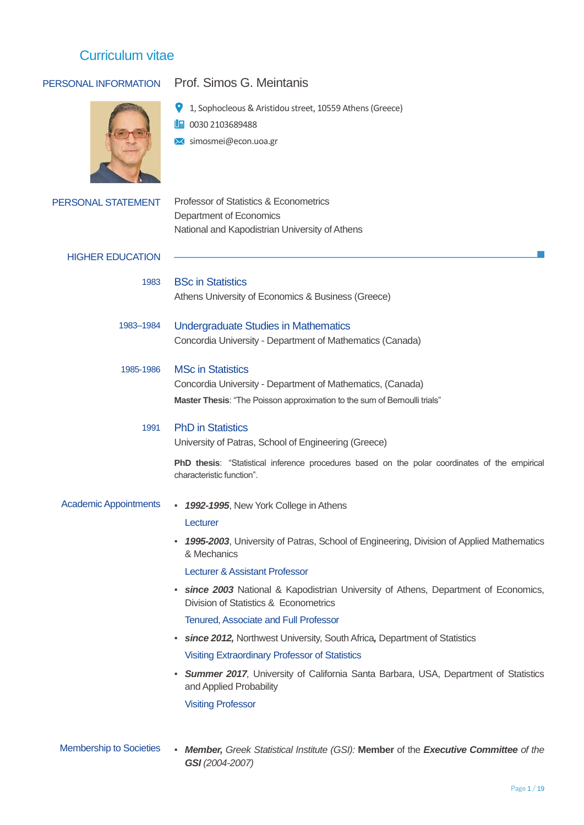

# PERSONAL INFORMATION Prof. Simos G. Meintanis

1, Sophocleous & Aristidou street, 10559 Athens (Greece)

- 1 0030 2103689488
- **X** simosmei@econ.uoa.gr

| Professor of Statistics & Econometrics         |
|------------------------------------------------|
| Department of Economics                        |
| National and Kapodistrian University of Athens |
|                                                |

### HIGHER EDUCATION

1983 BSc in Statistics Athens University of Economics & Business (Greece)

- 1983–1984 Undergraduate Studies in Mathematics Concordia University - Department of Mathematics (Canada)
- 1985-1986 MSc in Statistics

Concordia University - Department of Mathematics, (Canada) **Master Thesis**: "The Poisson approximation to the sum of Bernoulli trials"

#### 1991 PhD in Statistics

University of Patras, School of Engineering (Greece)

**PhD thesis**: "Statistical inference procedures based on the polar coordinates of the empirical characteristic function".

#### Academic Appointments ▪ *1992-1995*, New York College in Athens

#### Lecturer

▪ *1995-2003*, University of Patras, School of Engineering, Division of Applied Mathematics & Mechanics

Lecturer & Assistant Professor

▪ *since 2003* National & Kapodistrian University of Athens, Department of Economics, Division of Statistics & Econometrics

#### Tenured, Associate and Full Professor

- *since 2012,* Northwest University, South Africa*,* Department of Statistics Visiting Extraordinary Professor of Statistics
- *Summer 2017,* University of California Santa Barbara, USA, Department of Statistics and Applied Probability

Visiting Professor

Membership to Societies ▪ *Member, Greek Statistical Institute (GSI):* **Member** of the *Executive Committee of the GSI (2004-2007)*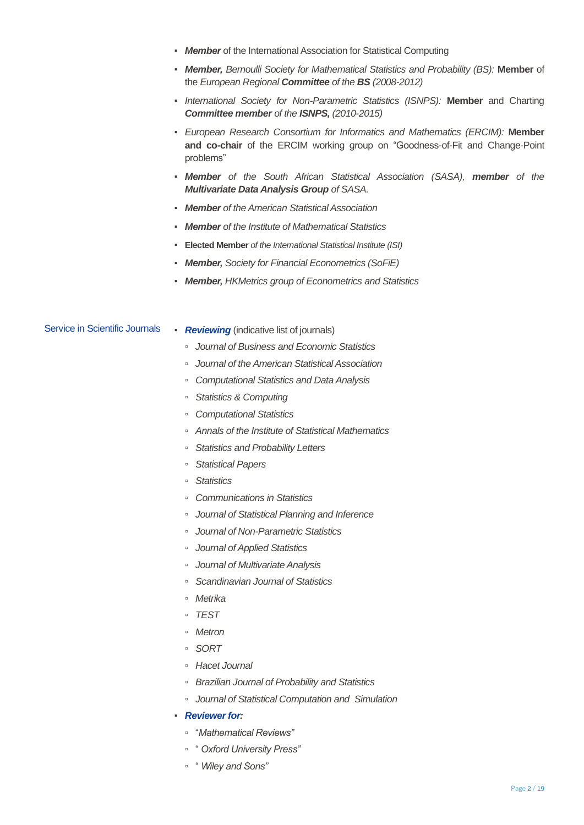- *Member* of the International Association for Statistical Computing
- *Member, Bernoulli Society for Mathematical Statistics and Probability (BS):* **Member** of the *European Regional Committee of the BS (2008-2012)*
- *International Society for Non-Parametric Statistics (ISNPS):* **Member** and Charting *Committee member of the ISNPS, (2010-2015)*
- *European Research Consortium for Informatics and Mathematics (ERCIM):* **Member and co-chair** of the ERCIM working group on "Goodness-of-Fit and Change-Point problems"
- *Member of the South African Statistical Association (SASA), member of the Multivariate Data Analysis Group of SASA.*
- *Member of the American Statistical Association*
- *Member of the Institute of Mathematical Statistics*
- **Elected Member** *of the International Statistical Institute (ISI)*
- *Member, Society for Financial Econometrics (SoFiE)*
- *Member, HKMetrics group of Econometrics and Statistics*

Service in Scientific Journals **·** *Reviewing* (indicative list of journals) ▫ *Journal of Business and Economic Statistics* ▫ *Journal of the American Statistical Association* ▫ *Computational Statistics and Data Analysis*

- *Statistics & Computing*
- *Computational Statistics*
- *Annals of the Institute of Statistical Mathematics*
- *Statistics and Probability Letters*
- *Statistical Papers*
- *Statistics*
- *Communications in Statistics*
- *Journal of Statistical Planning and Inference*
- *Journal of Non-Parametric Statistics*
- *Journal of Applied Statistics*
- *Journal of Multivariate Analysis*
- *Scandinavian Journal of Statistics*
- *Metrika*
- *TEST*
- *Metron*
- *SORT*
- *Hacet Journal*
- *Brazilian Journal of Probability and Statistics*
- *Journal of Statistical Computation and Simulation*
- *Reviewer for:*
	- "*Mathematical Reviews"*
	- " *Oxford University Press"*
	- " *Wiley and Sons"*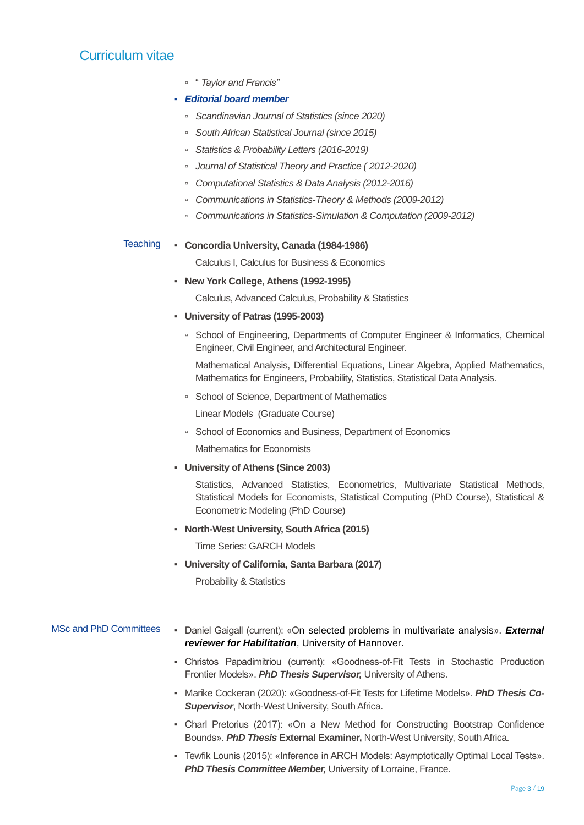▫ " *Taylor and Francis"*

## ▪ *Editorial board member*

- *Scandinavian Journal of Statistics (since 2020)*
- *South African Statistical Journal (since 2015)*
- *Statistics & Probability Letters (2016-2019)*
- *Journal of Statistical Theory and Practice ( 2012-2020)*
- *Computational Statistics & Data Analysis (2012-2016)*
- *Communications in Statistics-Theory & Methods (2009-2012)*
- *Communications in Statistics-Simulation & Computation (2009-2012)*

### Teaching ▪ **Concordia University, Canada (1984-1986)**

Calculus I, Calculus for Business & Economics

### ▪ **New York College, Athens (1992-1995)**

Calculus, Advanced Calculus, Probability & Statistics

- **University of Patras (1995-2003)**
	- School of Engineering, Departments of Computer Engineer & Informatics, Chemical Engineer, Civil Engineer, and Architectural Engineer.

Mathematical Analysis, Differential Equations, Linear Algebra, Applied Mathematics, Mathematics for Engineers, Probability, Statistics, Statistical Data Analysis.

▫ School of Science, Department of Mathematics

Linear Models (Graduate Course)

▫ School of Economics and Business, Department of Economics

Mathematics for Economists

▪ **University of Athens (Since 2003)**

Statistics, Advanced Statistics, Econometrics, Multivariate Statistical Methods, Statistical Models for Economists, Statistical Computing (PhD Course), Statistical & Econometric Modeling (PhD Course)

▪ **North-West University, South Africa (2015)**

Time Series: GARCH Models

▪ **University of California, Santa Barbara (2017)**

Probability & Statistics

## MSc and PhD Committees • Daniel Gaigall (current): «On selected problems in multivariate analysis». *External reviewer for Habilitation*, University of Hannover.

- Christos Papadimitriou (current): «Goodness-of-Fit Tests in Stochastic Production Frontier Models». *PhD Thesis Supervisor,* University of Athens.
- Marike Cockeran (2020): «Goodness-of-Fit Tests for Lifetime Models». *PhD Thesis Co-***Supervisor, North-West University, South Africa.**
- Charl Pretorius (2017): «On a New Method for Constructing Bootstrap Confidence Bounds». *PhD Thesis* **External Examiner,** North-West University, South Africa.
- Tewfik Lounis (2015): «Inference in ARCH Models: Asymptotically Optimal Local Tests». **PhD Thesis Committee Member, University of Lorraine, France.**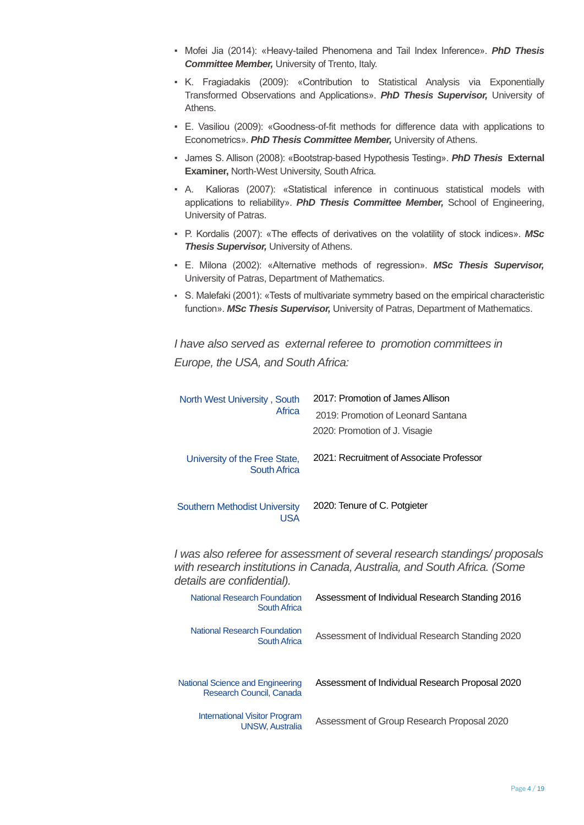- Mofei Jia (2014): «Heavy-tailed Phenomena and Tail Index Inference». *PhD Thesis Committee Member,* University of Trento, Italy.
- Κ. Fragiadakis (2009): «Contribution to Statistical Analysis via Exponentially Transformed Observations and Applications». *PhD Thesis Supervisor,* University of **Athens**
- E. Vasiliou (2009): «Goodness-of-fit methods for difference data with applications to Econometrics». *PhD Thesis Committee Member,* University of Athens.
- James S. Allison (2008): «Bootstrap-based Hypothesis Testing». *PhD Thesis* **External Examiner,** North-West University, South Africa.
- A. Kalioras (2007): «Statistical inference in continuous statistical models with applications to reliability». *PhD Thesis Committee Member,* School of Engineering, University of Patras.
- P. Kordalis (2007): «The effects of derivatives on the volatility of stock indices». *MSc*  **Thesis Supervisor, University of Athens.**
- E. Milona (2002): «Alternative methods of regression». *MSc Thesis Supervisor,*  University of Patras, Department of Mathematics.
- S. Malefaki (2001): «Tests of multivariate symmetry based on the empirical characteristic function». *MSc Thesis Supervisor,* University of Patras, Department of Mathematics.

*I have also served as external referee to promotion committees in Europe, the USA, and South Africa:*

| North West University, South<br>Africa             | 2017: Promotion of James Allison<br>2019: Promotion of Leonard Santana<br>2020: Promotion of J. Visagie |
|----------------------------------------------------|---------------------------------------------------------------------------------------------------------|
| University of the Free State,<br>South Africa      | 2021: Recruitment of Associate Professor                                                                |
| <b>Southern Methodist University</b><br><b>JSA</b> | 2020: Tenure of C. Potgieter                                                                            |

*I was also referee for assessment of several research standings/ proposals with research institutions in Canada, Australia, and South Africa. (Some details are confidential).* 

| <b>National Research Foundation</b><br><b>South Africa</b>     | Assessment of Individual Research Standing 2016 |
|----------------------------------------------------------------|-------------------------------------------------|
| <b>National Research Foundation</b><br>South Africa            | Assessment of Individual Research Standing 2020 |
| National Science and Engineering<br>Research Council, Canada   | Assessment of Individual Research Proposal 2020 |
| <b>International Visitor Program</b><br><b>UNSW, Australia</b> | Assessment of Group Research Proposal 2020      |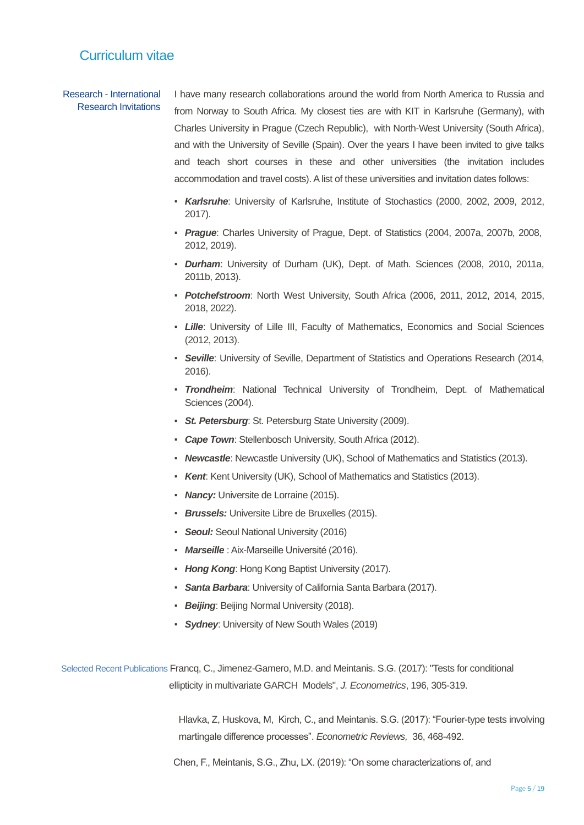#### Research - International Research Invitations

I have many research collaborations around the world from North America to Russia and from Norway to South Africa. My closest ties are with KIT in Karlsruhe (Germany), with Charles University in Prague (Czech Republic), with North-West University (South Africa), and with the University of Seville (Spain). Over the years I have been invited to give talks and teach short courses in these and other universities (the invitation includes accommodation and travel costs). A list of these universities and invitation dates follows:

- *Karlsruhe*: University of Karlsruhe, Institute of Stochastics (2000, 2002, 2009, 2012, 2017).
- *Prague*: Charles University of Prague, Dept. of Statistics (2004, 2007a, 2007b, 2008, 2012, 2019).
- *Durham*: University of Durham (UK), Dept. of Math. Sciences (2008, 2010, 2011a, 2011b, 2013).
- *Potchefstroom*: North West University, South Africa (2006, 2011, 2012, 2014, 2015, 2018, 2022).
- *Lille*: University of Lille III, Faculty of Mathematics, Economics and Social Sciences (2012, 2013).
- *Seville*: University of Seville, Department of Statistics and Operations Research (2014, 2016).
- *Trondheim*: National Technical University of Trondheim, Dept. of Mathematical Sciences (2004).
- *St. Petersburg*: St. Petersburg State University (2009).
- *Cape Town*: Stellenbosch University, South Africa (2012).
- *Newcastle*: Newcastle University (UK), School of Mathematics and Statistics (2013).
- *Kent*: Kent University (UK), School of Mathematics and Statistics (2013).
- **Nancy:** Universite de Lorraine (2015).
- *Brussels:* Universite Libre de Bruxelles (2015).
- *Seoul:* Seoul National University (2016)
- *Marseille* : Aix-Marseille Université (2016).
- *Hong Kong*: Hong Kong Baptist University (2017).
- *Santa Barbara*: University of California Santa Barbara (2017).
- *Beijing*: Beijing Normal University (2018).
- *Sydney*: University of New South Wales (2019)

 Selected Recent Publications Francq, C., Jimenez-Gamero, M.D. and Meintanis. S.G. (2017): "Tests for conditional ellipticity in multivariate GARCH Models", *J. Econometrics*, 196, 305-319.

> Hlavka, Z, Huskova, M, Kirch, C., and Meintanis. S.G. (2017): "Fourier-type tests involving martingale difference processes". *Econometric Reviews,* 36, 468-492.

Chen, F., Meintanis, S.G., Zhu, LX. (2019): "On some characterizations of, and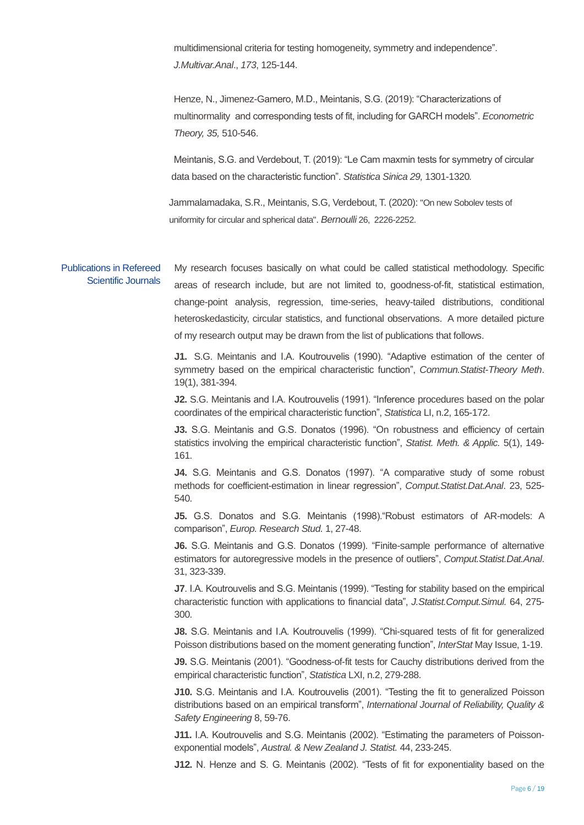multidimensional criteria for testing homogeneity, symmetry and independence". *J.Multivar.Anal*., *173*, 125-144.

Henze, N., Jimenez-Gamero, M.D., Meintanis, S.G. (2019): "Characterizations of multinormality and corresponding tests of fit, including for GARCH models". *Econometric Theory, 35,* 510-546.

Meintanis, S.G. and Verdebout, T. (2019): "Le Cam maxmin tests for symmetry of circular data based on the characteristic function". *Statistica Sinica 29,* 1301-1320*.*

Jammalamadaka, S.R., Meintanis, S.G, Verdebout, T. (2020): "On new Sobolev tests of uniformity for circular and spherical data". *Bernoulli* 26, 2226-2252.

Publications in Refereed Scientific Journals

My research focuses basically on what could be called statistical methodology. Specific areas of research include, but are not limited to, goodness-of-fit, statistical estimation, change-point analysis, regression, time-series, heavy-tailed distributions, conditional heteroskedasticity, circular statistics, and functional observations. A more detailed picture of my research output may be drawn from the list of publications that follows.

**J1.** S.G. Meintanis and I.A. Koutrouvelis (1990). "Adaptive estimation of the center of symmetry based on the empirical characteristic function", *Commun.Statist-Theory Meth*. 19(1), 381-394.

**J2.** S.G. Meintanis and I.A. Koutrouvelis (1991). "Inference procedures based on the polar coordinates of the empirical characteristic function", *Statistica* LI, n.2, 165-172.

**J3.** S.G. Meintanis and G.S. Donatos (1996). "On robustness and efficiency of certain statistics involving the empirical characteristic function", *Statist. Meth. & Applic.* 5(1), 149- 161.

**J4.** S.G. Meintanis and G.S. Donatos (1997). "A comparative study of some robust methods for coefficient-estimation in linear regression", *Comput.Statist.Dat.Anal*. 23, 525- 540.

**J5.** G.S. Donatos and S.G. Meintanis (1998)."Robust estimators of AR-models: A comparison", *Europ. Research Stud.* 1, 27-48.

**J6.** S.G. Meintanis and G.S. Donatos (1999). "Finite-sample performance of alternative estimators for autoregressive models in the presence of outliers", *Comput.Statist.Dat.Anal*. 31, 323-339.

**J7**. I.A. Koutrouvelis and S.G. Meintanis (1999). "Testing for stability based on the empirical characteristic function with applications to financial data", *J.Statist.Comput.Simul.* 64, 275- 300.

**J8.** S.G. Meintanis and I.A. Koutrouvelis (1999). "Chi-squared tests of fit for generalized Poisson distributions based on the moment generating function", *InterStat* May Issue, 1-19.

**J9.** S.G. Meintanis (2001). "Goodness-of-fit tests for Cauchy distributions derived from the empirical characteristic function", *Statistica* LXI, n.2, 279-288.

**J10.** S.G. Meintanis and I.A. Koutrouvelis (2001). "Testing the fit to generalized Poisson distributions based on an empirical transform", *International Journal of Reliability, Quality & Safety Engineering* 8, 59-76.

**J11.** Ι.Α. Koutrouvelis and S.G. Meintanis (2002). "Estimating the parameters of Poissonexponential models", *Austral. & New Zealand J. Statist.* 44, 233-245.

**J12.** N. Henze and S. G. Meintanis (2002). "Tests of fit for exponentiality based on the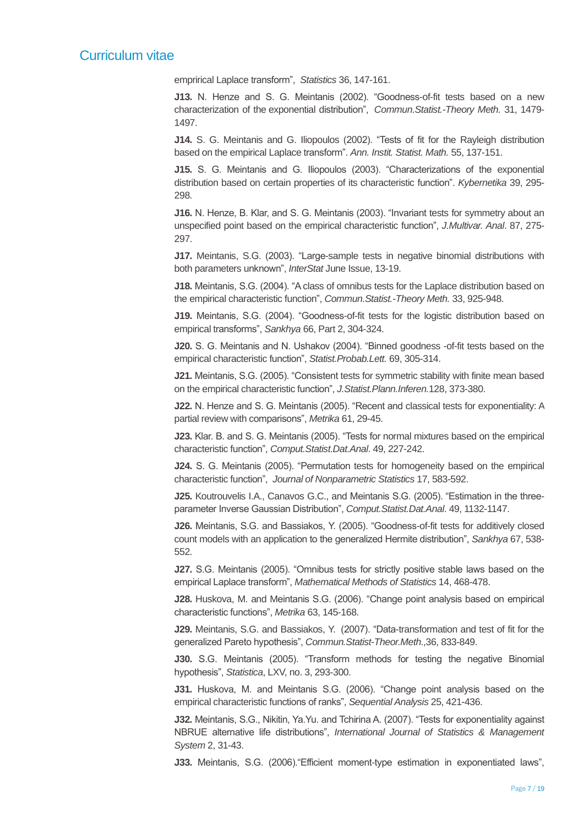emprirical Laplace transform", *Statistics* 36, 147-161.

**J13.** N. Henze and S. G. Meintanis (2002). "Goodness-of-fit tests based on a new characterization of the exponential distribution", *Commun.Statist.-Theory Meth.* 31, 1479- 1497.

**J14.** S. G. Meintanis and G. Iliopoulos (2002). "Tests of fit for the Rayleigh distribution based on the empirical Laplace transform". *Ann. Instit. Statist. Math.* 55, 137-151.

**J15.** S. G. Meintanis and G. Iliopoulos (2003). "Characterizations of the exponential distribution based on certain properties of its characteristic function". *Kybernetika* 39, 295- 298.

**J16.** N. Henze, B. Klar, and S. G. Meintanis (2003). "Invariant tests for symmetry about an unspecified point based on the empirical characteristic function", *J.Multivar. Anal*. 87, 275- 297.

**J17.** Meintanis, S.G. (2003). "Large-sample tests in negative binomial distributions with both parameters unknown", *InterStat* June Issue, 13-19.

**J18.** Meintanis, S.G. (2004). "A class of omnibus tests for the Laplace distribution based on the empirical characteristic function", *Commun.Statist.-Theory Meth.* 33, 925-948.

**J19.** Meintanis, S.G. (2004). "Goodness-of-fit tests for the logistic distribution based on empirical transforms", *Sankhya* 66, Part 2, 304-324.

**J20.** S. G. Meintanis and N. Ushakov (2004). "Binned goodness -of-fit tests based on the empirical characteristic function", *Statist.Probab.Lett.* 69, 305-314.

**J21.** Meintanis, S.G. (2005). "Consistent tests for symmetric stability with finite mean based on the empirical characteristic function", *J.Statist.Plann.Inferen.*128, 373-380.

**J22.** N. Henze and S. G. Meintanis (2005). "Recent and classical tests for exponentiality: A partial review with comparisons", *Metrika* 61, 29-45.

**J23.** Klar. B. and S. G. Meintanis (2005). "Tests for normal mixtures based on the empirical characteristic function", *Comput.Statist.Dat.Anal*. 49, 227-242.

**J24.** S. G. Meintanis (2005). "Permutation tests for homogeneity based on the empirical characteristic function", *Journal of Nonparametric Statistics* 17, 583-592.

**J25.** Koutrouvelis I.A., Canavos G.C., and Meintanis S.G. (2005). "Estimation in the threeparameter Inverse Gaussian Distribution", *Comput.Statist.Dat.Anal*. 49, 1132-1147.

**J26.** Meintanis, S.G. and Bassiakos, Y. (2005). "Goodness-of-fit tests for additively closed count models with an application to the generalized Hermite distribution", *Sankhya* 67, 538- 552.

**J27.** S.G. Meintanis (2005). "Omnibus tests for strictly positive stable laws based on the empirical Laplace transform", *Mathematical Methods of Statistics* 14, 468-478.

**J28.** Huskova, M. and Meintanis S.G. (2006). "Change point analysis based on empirical characteristic functions", *Metrika* 63, 145-168.

**J29.** Meintanis, S.G. and Bassiakos, Y. (2007). "Data-transformation and test of fit for the generalized Pareto hypothesis", *Commun.Statist-Theor.Meth*.,36, 833-849.

**J30.** S.G. Meintanis (2005). "Transform methods for testing the negative Binomial hypothesis", *Statistica*, LXV, no. 3, 293-300.

**J31.** Huskova, M. and Meintanis S.G. (2006). "Change point analysis based on the empirical characteristic functions of ranks", *Sequential Analysis* 25, 421-436.

**J32.** Meintanis, S.G., Nikitin, Ya.Yu. and Tchirina A. (2007). "Tests for exponentiality against NBRUE alternative life distributions", *International Journal of Statistics & Management System* 2, 31-43.

**J33.** Meintanis, S.G. (2006)."Efficient moment-type estimation in exponentiated laws",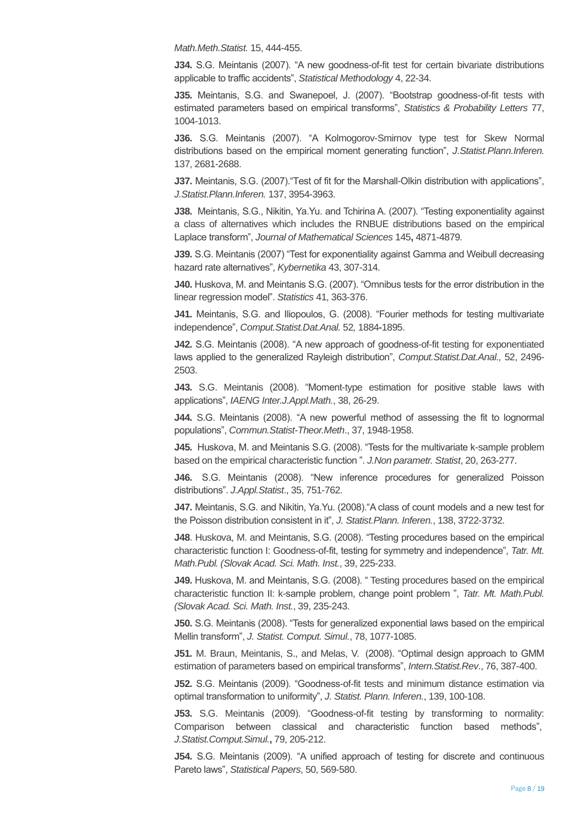*Math.Meth.Statist.* 15, 444-455.

**J34.** S.G. Meintanis (2007). "A new goodness-of-fit test for certain bivariate distributions applicable to traffic accidents", *Statistical Methodology* 4, 22-34.

**J35.** Meintanis, S.G. and Swanepoel, J. (2007). "Bootstrap goodness-of-fit tests with estimated parameters based on empirical transforms", *Statistics & Probability Letters* 77, 1004-1013.

**J36.** S.G. Meintanis (2007). "A Kolmogorov-Smirnov type test for Skew Normal distributions based on the empirical moment generating function", *J.Statist.Plann.Inferen.*  137, 2681-2688.

**J37.** Meintanis, S.G. (2007)."Τest of fit for the Marshall-Olkin distribution with applications", *J.Statist.Plann.Inferen.* 137, 3954-3963.

**J38.** Meintanis, S.G., Nikitin, Ya.Yu. and Tchirina A. (2007). "Testing exponentiality against a class of alternatives which includes the RNBUE distributions based on the empirical Laplace transform", *Journal of Mathematical Sciences* 145**,** 4871-4879.

**J39.** S.G. Meintanis (2007) "Test for exponentiality against Gamma and Weibull decreasing hazard rate alternatives", *Kybernetika* 43, 307-314.

**J40.** Huskova, M. and Meintanis S.G. (2007). "Omnibus tests for the error distribution in the linear regression model". *Statistics* 41, 363-376.

**J41.** Meintanis, S.G. and Iliopoulos, G. (2008). "Fourier methods for testing multivariate independence", *Comput.Statist.Dat.Anal.* 52*,* 1884**-**1895.

**J42.** S.G. Meintanis (2008). "A new approach of goodness-of-fit testing for exponentiated laws applied to the generalized Rayleigh distribution", *Comput.Statist.Dat.Anal.,* 52, 2496- 2503.

**J43.** S.G. Meintanis (2008). "Moment-type estimation for positive stable laws with applications", *IAENG Inter.J.Appl.Math.*, 38, 26-29.

**J44.** S.G. Meintanis (2008). "A new powerful method of assessing the fit to lognormal populations", *Commun.Statist-Theor.Meth*., 37, 1948-1958.

**J45.** Huskova, M. and Meintanis S.G. (2008). "Tests for the multivariate k-sample problem based on the empirical characteristic function ". *J.Non parametr. Statist*, 20, 263-277.

**J46.** S.G. Meintanis (2008). "Νew inference procedures for generalized Poisson distributions". *J.Appl.Statist*., 35, 751-762.

**J47.** Meintanis, S.G. and Nikitin, Ya.Yu. (2008)."A class of count models and a new test for the Poisson distribution consistent in it", *J. Statist.Plann. Inferen.*, 138, 3722-3732.

**J48**. Huskova, M. and Meintanis, S.G. (2008). "Testing procedures based on the empirical characteristic function I: Goodness-of-fit, testing for symmetry and independence", *Tatr. Mt. Math.Publ. (Slovak Acad. Sci. Math. Inst.*, 39, 225-233.

**J49.** Huskova, M. and Meintanis, S.G. (2008). " Testing procedures based on the empirical characteristic function II: k-sample problem, change point problem ", *Tatr. Mt. Math.Publ. (Slovak Acad. Sci. Math. Inst.*, 39, 235-243.

**J50.** S.G. Meintanis (2008). "Tests for generalized exponential laws based on the empirical Mellin transform", *J. Statist. Comput. Simul.*, 78, 1077-1085.

**J51.** M. Braun, Meintanis, S., and Melas, V. (2008). "Optimal design approach to GMM estimation of parameters based on empirical transforms", *Intern.Statist.Rev*., 76, 387-400.

**J52.** S.G. Meintanis (2009). "Goodness-of-fit tests and minimum distance estimation via optimal transformation to uniformity", *J. Statist. Plann. Inferen.*, 139, 100-108.

**J53.** S.G. Meintanis (2009). "Goodness-of-fit testing by transforming to normality: Comparison between classical and characteristic function based methods", *J.Statist.Comput.Simul.***,** 79, 205-212.

**J54.** S.G. Meintanis (2009). "A unified approach of testing for discrete and continuous Pareto laws", *Statistical Papers*, 50, 569-580.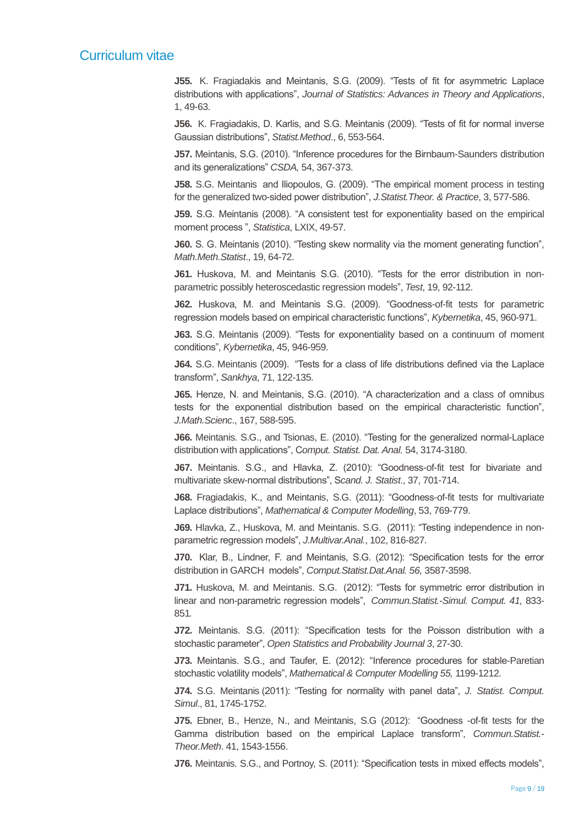**J55.** K. Fragiadakis and Meintanis, S.G. (2009). "Tests of fit for asymmetric Laplace distributions with applications", *Journal of Statistics: Advances in Theory and Applications*, 1, 49-63.

**J56.** K. Fragiadakis, D. Karlis, and S.G. Meintanis (2009). "Tests of fit for normal inverse Gaussian distributions", *Statist.Method*., 6, 553-564.

**J57.** Meintanis, S.G. (2010). "Inference procedures for the Birnbaum-Saunders distribution and its generalizations" *CSDA,* 54, 367-373.

**J58.** S.G. Meintanis and Iliopoulos, G. (2009). "The empirical moment process in testing for the generalized two-sided power distribution", *J.Statist.Theor. & Practice*, 3, 577-586.

**J59.** S.G. Meintanis (2008). "A consistent test for exponentiality based on the empirical moment process ", *Statistica*, LXIX, 49-57.

**J60.** S. G. Meintanis (2010). "Testing skew normality via the moment generating function", *Math.Meth.Statist*., 19, 64-72.

**J61.** Huskova, M. and Meintanis S.G. (2010). "Tests for the error distribution in nonparametric possibly heteroscedastic regression models", *Test*, 19, 92-112.

**J62.** Huskova, M. and Meintanis S.G. (2009). "Goodness-of-fit tests for parametric regression models based on empirical characteristic functions", *Kybernetika*, 45, 960-971.

**J63.** S.G. Meintanis (2009). "Tests for exponentiality based on a continuum of moment conditions", *Kybernetika*, 45, 946-959.

**J64.** S.G. Meintanis (2009). "Tests for a class of life distributions defined via the Laplace transform", *Sankhya*, 71, 122-135.

**J65.** Henze, N. and Meintanis, S.G. (2010). "A characterization and a class of omnibus tests for the exponential distribution based on the empirical characteristic function", *J.Math.Scienc*., 167, 588-595.

**J66.** Meintanis. S.G., and Tsionas, E. (2010). "Testing for the generalized normal-Laplace distribution with applications", C*omput. Statist. Dat. Anal.* 54, 3174-3180.

**J67.** Meintanis. S.G., and Hlavka, Z. (2010): "Goodness-of-fit test for bivariate and multivariate skew-normal distributions", S*cand. J. Statist*., 37, 701-714.

**J68.** Fragiadakis, K., and Meintanis, S.G. (2011): "Goodness-of-fit tests for multivariate Laplace distributions", *Mathematical & Computer Modelling*, 53, 769-779.

**J69.** Hlavka, Z., Huskova, M. and Meintanis. S.G. (2011): "Testing independence in nonparametric regression models", *J.Multivar.Anal.*, 102, 816-827.

**J70.** Klar, B., Lindner, F. and Meintanis, S.G. (2012): "Specification tests for the error distribution in GARCH models", *Comput.Statist.Dat.Anal. 56,* 3587-3598.

**J71.** Huskova, M. and Meintanis. S.G. (2012): "Tests for symmetric error distribution in linear and non-parametric regression models", *Commun.Statist.-Simul. Comput. 41,* 833- 851*.*

**J72.** Meintanis. S.G. (2011): "Specification tests for the Poisson distribution with a stochastic parameter", *Open Statistics and Probability Journal 3*, 27-30.

**J73.** Meintanis. S.G., and Taufer, E. (2012): "Inference procedures for stable-Paretian stochastic volatility models", *Mathematical & Computer Modelling 55,* 1199-1212.

**J74.** S.G. Meintanis (2011): "Testing for normality with panel data", *J. Statist. Comput. Simul*., 81, 1745-1752.

**J75.** Ebner, B., Henze, N., and Meintanis, S.G (2012): "Goodness -of-fit tests for the Gamma distribution based on the empirical Laplace transform", *Commun.Statist.- Theor.Meth*. 41, 1543-1556.

**J76.** Meintanis. S.G., and Portnoy, S. (2011): "Specification tests in mixed effects models",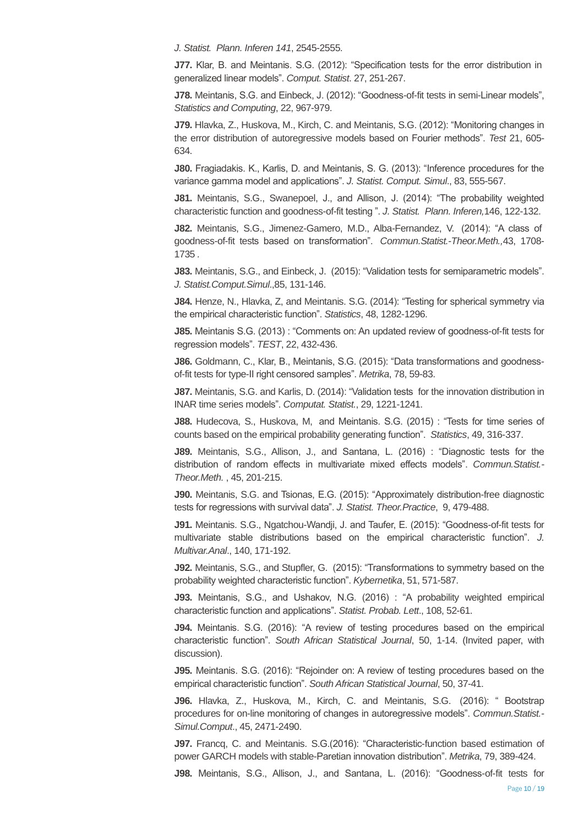*J. Statist. Plann. Inferen 141*, 2545-2555.

**J77.** Klar, B. and Meintanis. S.G. (2012): "Specification tests for the error distribution in generalized linear models". *Comput. Statist*. 27, 251-267.

**J78.** Meintanis, S.G. and Einbeck, J. (2012): "Goodness-of-fit tests in semi-Linear models", *Statistics and Computing*, 22, 967-979.

**J79.** Hlavka, Z., Huskova, M., Kirch, C. and Meintanis, S.G. (2012): "Monitoring changes in the error distribution of autoregressive models based on Fourier methods". *Test* 21, 605- 634.

**J80.** Fragiadakis. K., Karlis, D. and Meintanis, S. G. (2013): "Inference procedures for the variance gamma model and applications". *J. Statist. Comput. Simul*., 83, 555-567.

**J81.** Meintanis, S.G., Swanepoel, J., and Allison, J. (2014): "The probability weighted characteristic function and goodness-of-fit testing ". *J. Statist. Plann. Inferen,*146, 122-132.

**J82.** Meintanis, S.G., Jimenez-Gamero, M.D., Alba-Fernandez, V. (2014): "A class of goodness-of-fit tests based on transformation". *Commun.Statist.-Theor.Meth.,*43, 1708- 1735 *.*

**J83.** Meintanis, S.G., and Einbeck, J. (2015): "Validation tests for semiparametric models". *J. Statist.Comput.Simul*.,85, 131-146.

**J84.** Henze, N., Hlavka, Z, and Meintanis. S.G. (2014): "Testing for spherical symmetry via the empirical characteristic function". *Statistics*, 48, 1282-1296.

**J85.** Meintanis S.G. (2013) : "Comments on: An updated review of goodness-of-fit tests for regression models". *TEST*, 22, 432-436.

**J86.** Goldmann, C., Klar, B., Meintanis, S.G. (2015): "Data transformations and goodnessof-fit tests for type-II right censored samples". *Metrika*, 78, 59-83.

**J87.** Meintanis, S.G. and Karlis, D. (2014): "Validation tests for the innovation distribution in INAR time series models". *Computat. Statist.*, 29, 1221-1241.

**J88.** Hudecova, S., Huskova, M, and Meintanis. S.G. (2015) : "Tests for time series of counts based on the empirical probability generating function". *Statistics*, 49, 316-337.

**J89.** Meintanis, S.G., Allison, J., and Santana, L. (2016) : "Diagnostic tests for the distribution of random effects in multivariate mixed effects models". *Commun.Statist.- Theor.Meth.* , 45, 201-215.

**J90.** Meintanis, S.G. and Tsionas, E.G. (2015): "Approximately distribution-free diagnostic tests for regressions with survival data". *J. Statist. Theor.Practice*, 9, 479-488.

**J91.** Meintanis. S.G., Ngatchou-Wandji, J. and Taufer, E. (2015): "Goodness-of-fit tests for multivariate stable distributions based on the empirical characteristic function". *J. Multivar.Anal*., 140, 171-192.

**J92.** Meintanis, S.G., and Stupfler, G. (2015): "Transformations to symmetry based on the probability weighted characteristic function". *Kybernetika*, 51, 571-587.

**J93.** Meintanis, S.G., and Ushakov, N.G. (2016) : "A probability weighted empirical characteristic function and applications". *Statist. Probab. Lett*., 108, 52-61.

**J94.** Meintanis. S.G. (2016): "A review of testing procedures based on the empirical characteristic function". *South African Statistical Journal*, 50, 1-14. (Invited paper, with discussion).

**J95.** Meintanis. S.G. (2016): "Rejoinder on: A review of testing procedures based on the empirical characteristic function". *South African Statistical Journal*, 50, 37-41.

**J96.** Hlavka, Z., Huskova, M., Kirch, C. and Meintanis, S.G. (2016): " Bootstrap procedures for on-line monitoring of changes in autoregressive models". *Commun.Statist.- Simul.Comput*., 45, 2471-2490.

**J97.** Francq, C. and Meintanis. S.G.(2016): "Characteristic-function based estimation of power GARCH models with stable-Paretian innovation distribution". *Metrika*, 79, 389-424.

**J98.** Meintanis, S.G., Allison, J., and Santana, L. (2016): "Goodness-of-fit tests for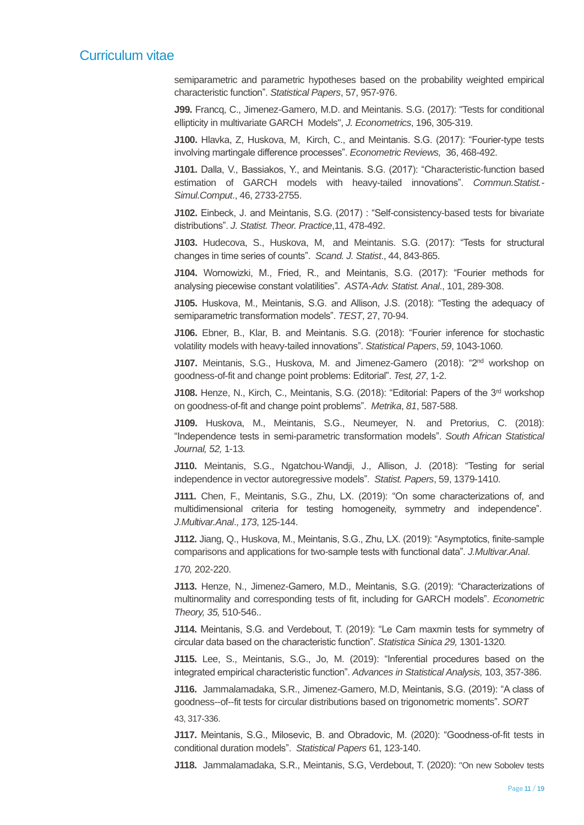semiparametric and parametric hypotheses based on the probability weighted empirical characteristic function". *Statistical Papers*, 57, 957-976.

**J99.** Francq, C., Jimenez-Gamero, M.D. and Meintanis. S.G. (2017): "Tests for conditional ellipticity in multivariate GARCH Models", *J. Econometrics*, 196, 305-319.

**J100.** Hlavka, Z, Huskova, M, Kirch, C., and Meintanis. S.G. (2017): "Fourier-type tests involving martingale difference processes". *Econometric Reviews,* 36, 468-492.

**J101.** Dalla, V., Bassiakos, Y., and Meintanis. S.G. (2017): "Characteristic-function based estimation of GARCH models with heavy-tailed innovations". *Commun.Statist.- Simul.Comput*., 46, 2733-2755.

**J102.** Einbeck, J. and Meintanis, S.G. (2017) : "Self-consistency-based tests for bivariate distributions". *J. Statist. Theor. Practice*,11, 478-492.

**J103.** Hudecova, S., Huskova, M, and Meintanis. S.G. (2017): "Tests for structural changes in time series of counts". *Scand. J. Statist*., 44, 843-865.

**J104.** Wornowizki, M., Fried, R., and Meintanis, S.G. (2017): "Fourier methods for analysing piecewise constant volatilities". *ASTA-Adv. Statist. Anal*., 101, 289-308.

**J105.** Huskova, M., Meintanis, S.G. and Allison, J.S. (2018): "Testing the adequacy of semiparametric transformation models". *TEST*, 27, 70-94.

**J106.** Ebner, B., Klar, B. and Meintanis. S.G. (2018): "Fourier inference for stochastic volatility models with heavy-tailed innovations". *Statistical Papers*, *59*, 1043-1060.

**J107.** Meintanis, S.G., Huskova, M. and Jimenez-Gamero (2018): "2nd workshop on goodness-of-fit and change point problems: Editorial". *Test, 27*, 1-2.

**J108.** Henze, N., Kirch, C., Meintanis, S.G. (2018): "Editorial: Papers of the 3rd workshop on goodness-of-fit and change point problems". *Metrika*, *81*, 587-588.

**J109.** Huskova, M., Meintanis, S.G., Neumeyer, N. and Pretorius, C. (2018): "Independence tests in semi-parametric transformation models". *South African Statistical Journal, 52,* 1-13*.*

**J110.** Meintanis, S.G., Ngatchou-Wandji, J., Allison, J. (2018): "Testing for serial independence in vector autoregressive models". *Statist. Papers*, 59, 1379-1410.

**J111.** Chen, F., Meintanis, S.G., Zhu, LX. (2019): "On some characterizations of, and multidimensional criteria for testing homogeneity, symmetry and independence". *J.Multivar.Anal*., *173*, 125-144.

**J112.** Jiang, Q., Huskova, M., Meintanis, S.G., Zhu, LX. (2019): "Asymptotics, finite-sample comparisons and applications for two-sample tests with functional data". *J.Multivar.Anal*.

*170,* 202-220.

**J113.** Henze, N., Jimenez-Gamero, M.D., Meintanis, S.G. (2019): "Characterizations of multinormality and corresponding tests of fit, including for GARCH models". *Econometric Theory, 35,* 510-546..

**J114.** Meintanis, S.G. and Verdebout, T. (2019): "Le Cam maxmin tests for symmetry of circular data based on the characteristic function". *Statistica Sinica 29,* 1301-1320*.*

**J115.** Lee, S., Meintanis, S.G., Jo, M. (2019): "Inferential procedures based on the integrated empirical characteristic function". *Advances in Statistical Analysis,* 103, 357-386.

**J116.** Jammalamadaka, S.R., Jimenez-Gamero, M.D, Meintanis, S.G. (2019): "A class of goodness--of--fit tests for circular distributions based on trigonometric moments". *SORT*  43, 317-336.

**J117.** Meintanis, S.G., Milosevic, B. and Obradovic, M. (2020): "Goodness-of-fit tests in conditional duration models". *Statistical Papers* 61, 123-140.

**J118.** Jammalamadaka, S.R., Meintanis, S.G, Verdebout, T. (2020): "On new Sobolev tests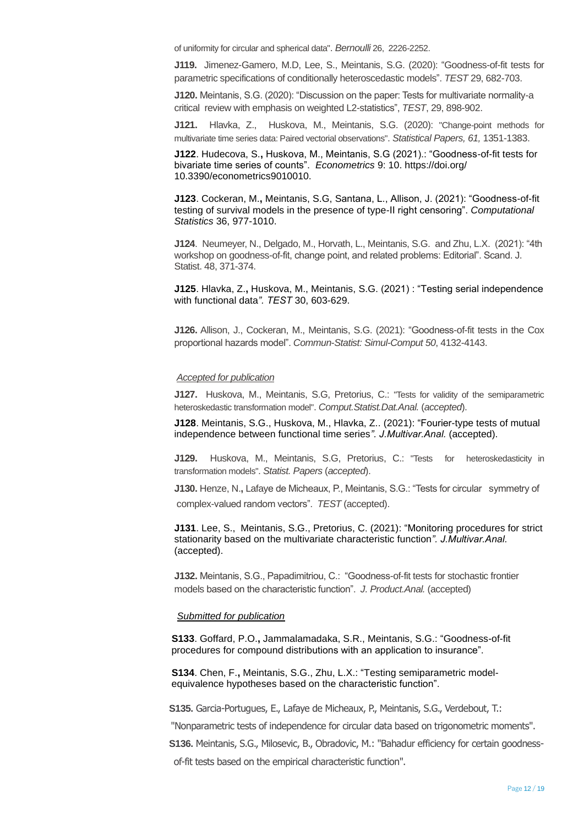of uniformity for circular and spherical data". *Bernoulli* 26, 2226-2252.

**J119.** Jimenez-Gamero, M.D, Lee, S., Meintanis, S.G. (2020): "Goodness-of-fit tests for parametric specifications of conditionally heteroscedastic models". *TEST* 29, 682-703.

**J120.** Meintanis, S.G. (2020): "Discussion on the paper: Tests for multivariate normality-a critical review with emphasis on weighted L2-statistics", *TEST*, 29, 898-902.

**J121.** Hlavka, Z., Huskova, M., Meintanis, S.G. (2020): "Change-point methods for multivariate time series data: Paired vectorial observations". *Statistical Papers, 61,* 1351-1383.

**J122**. Hudecova, S.**,** Huskova, M., Meintanis, S.G (2021).: "Goodness-of-fit tests for bivariate time series of counts". *Econometrics* 9: 10. https://doi.org/ 10.3390/econometrics9010010.

**J123**. Cockeran, M.**,** Meintanis, S.G, Santana, L., Allison, J. (2021): "Goodness-of-fit testing of survival models in the presence of type-II right censoring". *Computational Statistics* 36, 977-1010.

**J124**. Neumeyer, N., Delgado, M., Horvath, L., Meintanis, S.G. and Zhu, L.X. (2021): "4th workshop on goodness-of-fit, change point, and related problems: Editorial". Scand. J. Statist. 48, 371-374.

**J125**. Hlavka, Z.**,** Huskova, M., Meintanis, S.G. (2021) : "Testing serial independence with functional data*". TEST* 30, 603-629.

**J126.** Allison, J., Cockeran, M., Meintanis, S.G. (2021): "Goodness-of-fit tests in the Cox proportional hazards model". *Commun-Statist: Simul-Comput 50*, 4132-4143.

#### *Accepted for publication*

**J127.** Huskova, M., Meintanis, S.G, Pretorius, C.: "Tests for validity of the semiparametric heteroskedastic transformation model". *Comput.Statist.Dat.Anal.* (*accepted*).

**J128**. Meintanis, S.G., Huskova, M., Hlavka, Z.. (2021): "Fourier-type tests of mutual independence between functional time series*". J.Multivar.Anal.* (accepted).

**J129.** Huskova, M., Meintanis, S.G, Pretorius, C.: "Tests for heteroskedasticity in transformation models". *Statist. Papers* (*accepted*).

**J130.** Henze, N.**,** Lafaye de Micheaux, P., Meintanis, S.G.: "Tests for circular symmetry of complex-valued random vectors". *TEST* (accepted).

**J131**. Lee, S., Meintanis, S.G., Pretorius, C. (2021): "Monitoring procedures for strict stationarity based on the multivariate characteristic function*". J.Multivar.Anal.* (accepted).

**J132.** Meintanis, S.G., Papadimitriou, C.: "Goodness-of-fit tests for stochastic frontier models based on the characteristic function". *J. Product.Anal.* (accepted)

#### *Submitted for publication*

 **S133**. Goffard, P.O.**,** Jammalamadaka, S.R., Meintanis, S.G.: "Goodness-of-fit procedures for compound distributions with an application to insurance".

 **S134**. Chen, F.**,** Meintanis, S.G., Zhu, L.X.: "Testing semiparametric model equivalence hypotheses based on the characteristic function".

 **S135.** Garcia-Portugues, E., Lafaye de Micheaux, P., Meintanis, S.G., Verdebout, T.:

"Nonparametric tests of independence for circular data based on trigonometric moments".

 **S136.** Meintanis, S.G., Milosevic, B., Obradovic, M.: "Bahadur efficiency for certain goodness of-fit tests based on the empirical characteristic function".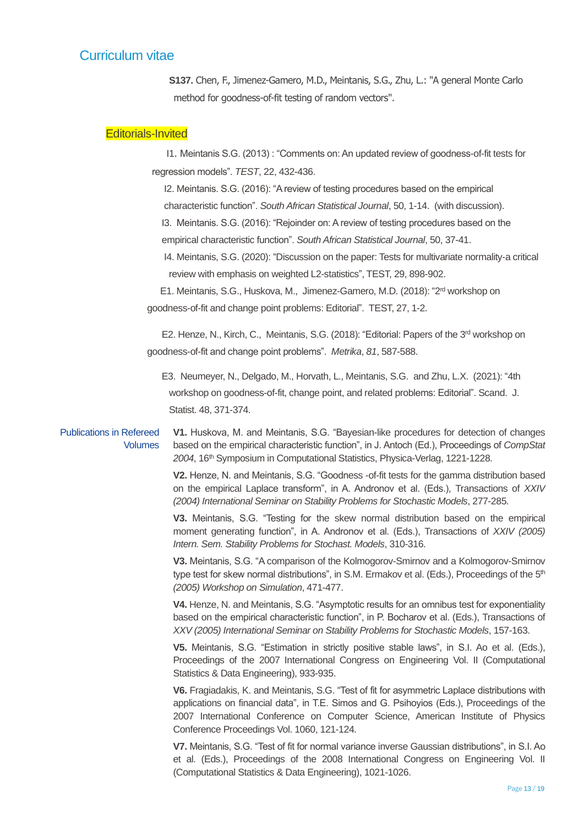**S137.** Chen, F., Jimenez-Gamero, M.D., Meintanis, S.G., Zhu, L.: "A general Monte Carlo method for goodness-of-fit testing of random vectors".

## Editorials-Invited

 I1. Meintanis S.G. (2013) : "Comments on: An updated review of goodness-of-fit tests for regression models". *TEST*, 22, 432-436.

I2. Meintanis. S.G. (2016): "A review of testing procedures based on the empirical

characteristic function". *South African Statistical Journal*, 50, 1-14. (with discussion).

I3.Meintanis. S.G. (2016): "Rejoinder on: A review of testing procedures based on the

empirical characteristic function". *South African Statistical Journal*, 50, 37-41.

 I4. Meintanis, S.G. (2020): "Discussion on the paper: Tests for multivariate normality-a critical review with emphasis on weighted L2-statistics", TEST, 29, 898-902.

 E1. Meintanis, S.G., Huskova, M.,Jimenez-Gamero, M.D. (2018): "2 rd workshop on goodness-of-fit and change point problems: Editorial". TEST, 27, 1-2.

> E2. Henze, N., Kirch, C.,Meintanis, S.G. (2018): "Editorial: Papers of the 3rd workshop on goodness-of-fit and change point problems". *Metrika*, *81*, 587-588.

E3. Neumeyer, N., Delgado, M., Horvath, L., Meintanis, S.G. and Zhu, L.X. (2021): "4th workshop on goodness-of-fit, change point, and related problems: Editorial". Scand. J. Statist. 48, 371-374.

#### Publications in Refereed Volumes

**V1.** Huskova, M. and Meintanis, S.G. "Bayesian-like procedures for detection of changes based on the empirical characteristic function", in J. Antoch (Ed.), Proceedings of *CompStat 2004*, 16th Symposium in Computational Statistics, Physica-Verlag, 1221-1228.

**V2.** Henze, N. and Meintanis, S.G. "Goodness -of-fit tests for the gamma distribution based on the empirical Laplace transform", in A. Andronov et al. (Eds.), Transactions of *XXIV (2004) International Seminar on Stability Problems for Stochastic Models*, 277-285.

**V3.** Meintanis, S.G. "Testing for the skew normal distribution based on the empirical moment generating function", in A. Andronov et al. (Eds.), Transactions of *XXIV (2005) Intern. Sem. Stability Problems for Stochast. Models*, 310-316.

**V3.** Meintanis, S.G. "A comparison of the Kolmogorov-Smirnov and a Kolmogorov-Smirnov type test for skew normal distributions", in S.M. Ermakov et al. (Eds.), Proceedings of the 5<sup>th</sup> *(2005) Workshop on Simulation*, 471-477.

**V4.** Henze, N. and Meintanis, S.G. "Asymptotic results for an omnibus test for exponentiality based on the empirical characteristic function", in P. Bocharov et al. (Eds.), Transactions of *XXV (2005) International Seminar on Stability Problems for Stochastic Models*, 157-163.

**V5.** Meintanis, S.G. "Estimation in strictly positive stable laws", in S.I. Ao et al. (Eds.), Proceedings of the 2007 International Congress on Engineering Vol. II (Computational Statistics & Data Engineering), 933-935.

**V6.** Fragiadakis, K. and Meintanis, S.G. "Test of fit for asymmetric Laplace distributions with applications on financial data", in T.E. Simos and G. Psihoyios (Eds.), Proceedings of the 2007 International Conference on Computer Science, American Institute of Physics Conference Proceedings Vol. 1060, 121-124.

**V7.** Meintanis, S.G. "Test of fit for normal variance inverse Gaussian distributions", in S.I. Ao et al. (Eds.), Proceedings of the 2008 International Congress on Engineering Vol. II (Computational Statistics & Data Engineering), 1021-1026.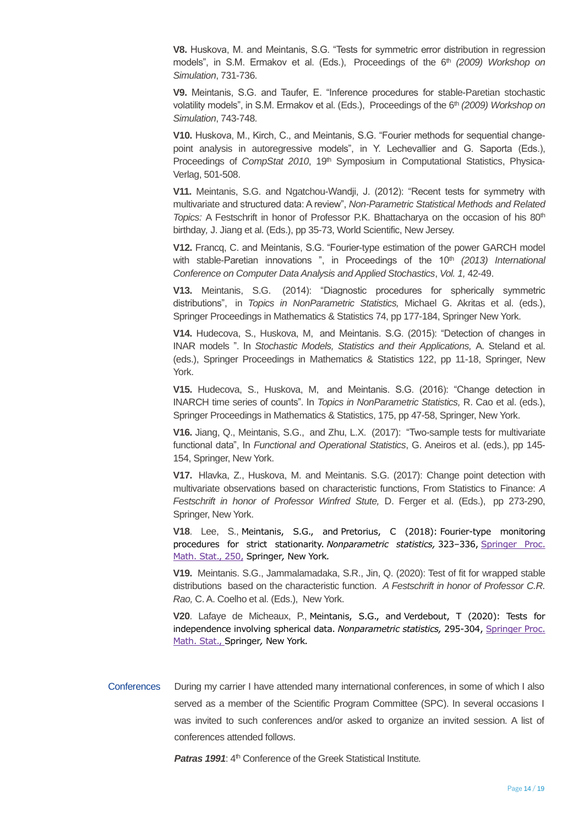**V8.** Huskova, M. and Meintanis, S.G. "Tests for symmetric error distribution in regression models", in S.M. Ermakov et al. (Eds.), Proceedings of the 6<sup>th</sup> (2009) Workshop on *Simulation*, 731-736.

**V9.** Meintanis, S.G. and Taufer, E. "Inference procedures for stable-Paretian stochastic volatility models", in S.M. Ermakov et al. (Eds.), Proceedings of the 6<sup>th</sup> (2009) Workshop on *Simulation*, 743-748.

**V10.** Huskova, M., Kirch, C., and Meintanis, S.G. "Fourier methods for sequential changepoint analysis in autoregressive models", in Y. Lechevallier and G. Saporta (Eds.), Proceedings of *CompStat 2010*, 19<sup>th</sup> Symposium in Computational Statistics, Physica-Verlag, 501-508.

**V11.** Meintanis, S.G. and Ngatchou-Wandji, J. (2012): "Recent tests for symmetry with multivariate and structured data: A review", *Non-Parametric Statistical Methods and Related Topics:* A Festschrift in honor of Professor P.K. Bhattacharya on the occasion of his 80th birthday*,* J. Jiang et al. (Eds.), pp 35-73, World Scientific, New Jersey.

**V12.** Francq, C. and Meintanis, S.G. "Fourier-type estimation of the power GARCH model with stable-Paretian innovations ", in Proceedings of the 10<sup>th</sup> (2013) International *Conference on Computer Data Analysis and Applied Stochastics*, *Vol. 1,* 42-49.

**V13.** Meintanis, S.G. (2014): "Diagnostic procedures for spherically symmetric distributions", in *Topics in NonParametric Statistics,* Michael G. Akritas et al. (eds.), Springer Proceedings in Mathematics & Statistics 74, pp 177-184, Springer New York.

**V14.** Hudecova, S., Huskova, M, and Meintanis. S.G. (2015): "Detection of changes in INAR models ". In *Stochastic Models, Statistics and their Applications,* A. Steland et al. (eds.), Springer Proceedings in Mathematics & Statistics 122, pp 11-18, Springer, New York.

**V15.** Hudecova, S., Huskova, M, and Meintanis. S.G. (2016): "Change detection in INARCH time series of counts". In *Topics in NonParametric Statistics,* R. Cao et al. (eds.), Springer Proceedings in Mathematics & Statistics, 175, pp 47-58, Springer, New York.

**V16.** Jiang, Q., Meintanis, S.G., and Zhu, L.X. (2017): "Two-sample tests for multivariate functional data", In *Functional and Operational Statistics*, G. Aneiros et al. (eds.), pp 145- 154, Springer, New York.

**V17.** Hlavka, Z., Huskova, M. and Meintanis. S.G. (2017): Change point detection with multivariate observations based on characteristic functions, From Statistics to Finance: *A Festschrift in honor of Professor Winfred Stute,* D. Ferger et al. (Eds.), pp 273-290, Springer, New York.

**V18**. Lee, S., Meintanis, S.G., and Pretorius, C (2018): Fourier-type monitoring procedures for strict stationarity. *Nonparametric statistics,* 323–336, [Springer Proc.](https://mathscinet-ams-org.nwulib.nwu.ac.za/mathscinet/search/series.html?id=5533)  [Math. Stat., 250,](https://mathscinet-ams-org.nwulib.nwu.ac.za/mathscinet/search/series.html?id=5533) Springer*,* New York*.* 

**V19.** Meintanis. S.G., Jammalamadaka, S.R., Jin, Q. (2020): Test of fit for wrapped stable distributions based on the characteristic function. *A Festschrift in honor of Professor C.R. Rao,* C. A. Coelho et al. (Eds.), New York.

**V20**. Lafaye de Micheaux, P., Meintanis, S.G., and Verdebout, T (2020): Tests for independence involving spherical data. *Nonparametric statistics,* 295-304, [Springer Proc.](https://mathscinet-ams-org.nwulib.nwu.ac.za/mathscinet/search/series.html?id=5533)  [Math. Stat., S](https://mathscinet-ams-org.nwulib.nwu.ac.za/mathscinet/search/series.html?id=5533)pringer*,* New York*.* 

Conferences During my carrier I have attended many international conferences, in some of which I also served as a member of the Scientific Program Committee (SPC). In several occasions I was invited to such conferences and/or asked to organize an invited session. A list of conferences attended follows.

**Patras 1991:** 4<sup>th</sup> Conference of the Greek Statistical Institute.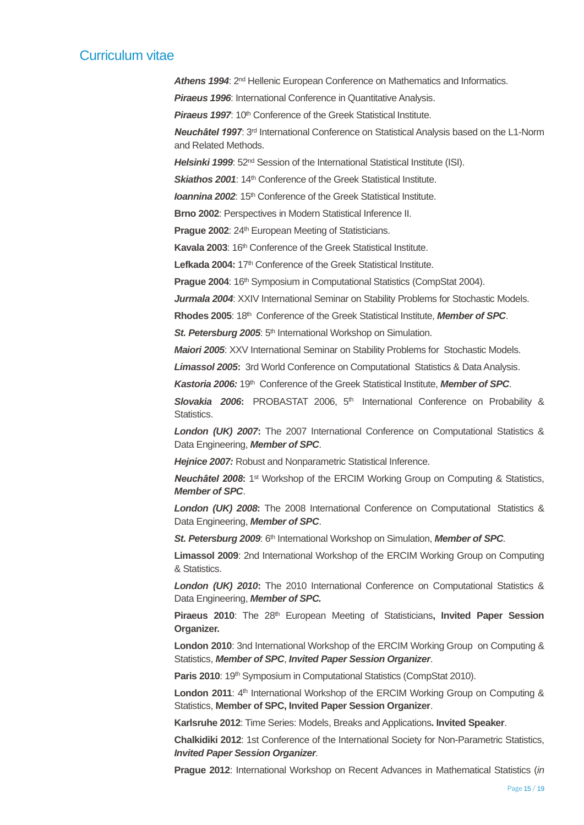*Athens 1994*: 2nd Hellenic European Conference on Mathematics and Informatics.

**Piraeus 1996:** International Conference in Quantitative Analysis.

**Piraeus 1997:** 10<sup>th</sup> Conference of the Greek Statistical Institute.

*Neuchâtel 1997*: 3rd International Conference on Statistical Analysis based on the L1-Norm and Related Methods.

Helsinki 1999: 52<sup>nd</sup> Session of the International Statistical Institute (ISI).

**Skiathos 2001:** 14<sup>th</sup> Conference of the Greek Statistical Institute.

*Ioannina 2002:* 15<sup>th</sup> Conference of the Greek Statistical Institute.

**Brno 2002**: Perspectives in Modern Statistical Inference II.

**Prague 2002: 24th European Meeting of Statisticians.** 

**Kavala 2003: 16th Conference of the Greek Statistical Institute.** 

**Lefkada 2004:** 17th Conference of the Greek Statistical Institute.

Prague 2004: 16<sup>th</sup> Symposium in Computational Statistics (CompStat 2004).

Jurmala 2004: XXIV International Seminar on Stability Problems for Stochastic Models.

**Rhodes 2005**: 18th Conference of the Greek Statistical Institute, *Member of SPC*.

St. Petersburg 2005: 5<sup>th</sup> International Workshop on Simulation.

*Maiori 2005*: XXV International Seminar on Stability Problems for Stochastic Models.

*Limassol 2005***:** 3rd World Conference on Computational Statistics & Data Analysis.

Kastoria 2006: 19<sup>th</sup> Conference of the Greek Statistical Institute, Member of SPC.

*Slovakia 2006***:** PROBASTAT 2006, 5th International Conference on Probability & Statistics.

*London (UK) 2007***:** The 2007 International Conference on Computational Statistics & Data Engineering, *Member of SPC*.

*Hejnice 2007:* Robust and Nonparametric Statistical Inference.

**Neuchâtel 2008:** 1<sup>st</sup> Workshop of the ERCIM Working Group on Computing & Statistics, *Member of SPC*.

*London (UK) 2008***:** The 2008 International Conference on Computational Statistics & Data Engineering, *Member of SPC*.

*St. Petersburg 2009:* 6<sup>th</sup> International Workshop on Simulation, Member of SPC.

**Limassol 2009**: 2nd International Workshop of the ERCIM Working Group on Computing & Statistics.

*London (UK) 2010***:** The 2010 International Conference on Computational Statistics & Data Engineering, *Member of SPC.*

Piraeus 2010: The 28<sup>th</sup> European Meeting of Statisticians, Invited Paper Session **Organizer.**

**London 2010**: 3nd International Workshop of the ERCIM Working Group on Computing & Statistics, *Member of SPC*, *Invited Paper Session Organizer*.

Paris 2010: 19<sup>th</sup> Symposium in Computational Statistics (CompStat 2010).

London 2011: 4<sup>th</sup> International Workshop of the ERCIM Working Group on Computing & Statistics, **Member of SPC, Invited Paper Session Organizer**.

**Karlsruhe 2012**: Time Series: Models, Breaks and Applications**. Invited Speaker**.

**Chalkidiki 2012**: 1st Conference of the International Society for Non-Parametric Statistics, *Invited Paper Session Organizer.*

**Prague 2012**: International Workshop on Recent Advances in Mathematical Statistics (*in*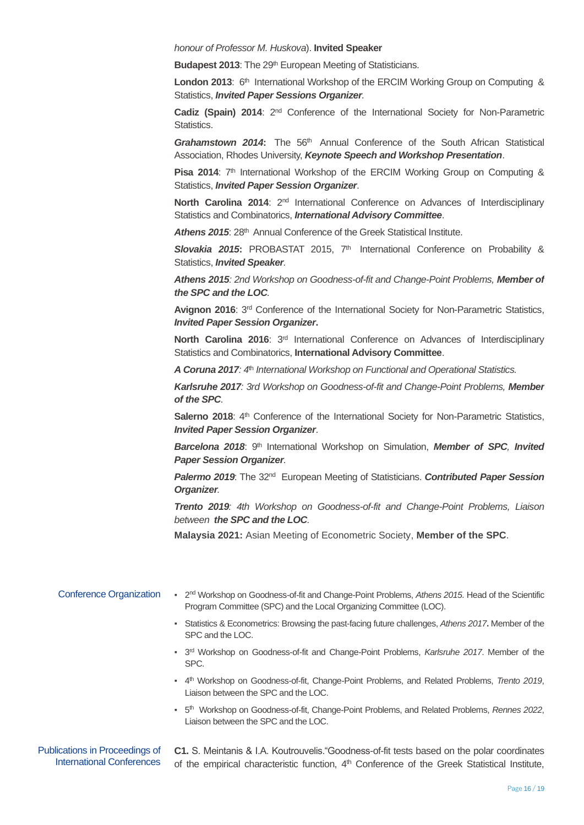*honour of Professor M. Huskova*). **Invited Speaker**

**Budapest 2013:** The 29<sup>th</sup> European Meeting of Statisticians.

London 2013: 6<sup>th</sup> International Workshop of the ERCIM Working Group on Computing & Statistics, *Invited Paper Sessions Organizer.*

Cadiz (Spain) 2014: 2<sup>nd</sup> Conference of the International Society for Non-Parametric Statistics.

*Grahamstown 2014***:** The 56th Annual Conference of the South African Statistical Association, Rhodes University, *Keynote Speech and Workshop Presentation*.

**Pisa 2014:** 7<sup>th</sup> International Workshop of the ERCIM Working Group on Computing & Statistics, *Invited Paper Session Organizer*.

**North Carolina 2014**: 2nd International Conference on Advances of Interdisciplinary Statistics and Combinatorics, *International Advisory Committee*.

Athens 2015: 28<sup>th</sup> Annual Conference of the Greek Statistical Institute.

*Slovakia 2015***:** PROBASTAT 2015, 7th International Conference on Probability & Statistics, *Invited Speaker.*

*Athens 2015: 2nd Workshop on Goodness-of-fit and Change-Point Problems, Member of the SPC and the LOC.*

**Avignon 2016**: 3rd Conference of the International Society for Non-Parametric Statistics, *Invited Paper Session Organizer***.**

North Carolina 2016: 3<sup>rd</sup> International Conference on Advances of Interdisciplinary Statistics and Combinatorics, **International Advisory Committee**.

*A Coruna 2017: 4*th *International Workshop on Functional and Operational Statistics.*

*Karlsruhe 2017: 3rd Workshop on Goodness-of-fit and Change-Point Problems, Member of the SPC.*

Salerno 2018: 4<sup>th</sup> Conference of the International Society for Non-Parametric Statistics, *Invited Paper Session Organizer*.

*Barcelona 2018*: 9th International Workshop on Simulation, *Member of SPC, Invited Paper Session Organizer.*

*Palermo 2019*: The 32nd European Meeting of Statisticians. *Contributed Paper Session Organizer.*

*Trento 2019: 4th Workshop on Goodness-of-fit and Change-Point Problems, Liaison between the SPC and the LOC.*

**Malaysia 2021:** Asian Meeting of Econometric Society, **Member of the SPC**.

| <b>Conference Organization</b> | - 2 <sup>nd</sup> Workshop on Goodness-of-fit and Change-Point Problems, Athens 2015. Head of the Scientific<br>Program Committee (SPC) and the Local Organizing Committee (LOC). |
|--------------------------------|-----------------------------------------------------------------------------------------------------------------------------------------------------------------------------------|
|                                | - Statistics & Econometrics: Browsing the past-facing future challenges, Athens 2017. Member of the<br>SPC and the LOC.                                                           |
|                                | • 3 <sup>rd</sup> Workshop on Goodness-of-fit and Change-Point Problems, Karlsruhe 2017. Member of the<br>SPC.                                                                    |
|                                | - 4 <sup>th</sup> Workshop on Goodness-of-fit, Change-Point Problems, and Related Problems, Trento 2019,<br>Liaison between the SPC and the LOC.                                  |
|                                | • 5 <sup>th</sup> Workshop on Goodness-of-fit, Change-Point Problems, and Related Problems, Rennes 2022,<br>Liaison between the SPC and the LOC.                                  |
| Publications in Proceedings of | C1 S Meintanis & LA Koutrouvelis "Goodness-of-fit tests based on the polar coordinates                                                                                            |

ings oi International Conferences

**C1.** S. Meintanis & Ι.Α. Koutrouvelis."Goodness-of-fit tests based on the polar coordinates of the empirical characteristic function, 4<sup>th</sup> Conference of the Greek Statistical Institute,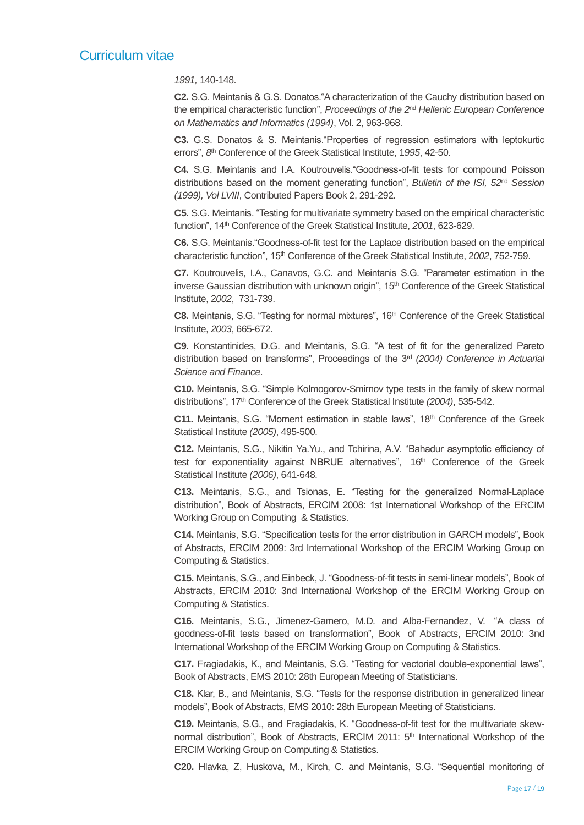*1991,* 140-148.

**C2.** S.G. Meintanis & G.S. Donatos."A characterization of the Cauchy distribution based on the empirical characteristic function", *Proceedings of the 2*nd *Hellenic European Conference on Mathematics and Informatics (1994)*, Vol. 2, 963-968.

**C3.** G.S. Donatos & S. Meintanis."Properties of regression estimators with leptokurtic errors", 8<sup>th</sup> Conference of the Greek Statistical Institute, 1995, 42-50.

**C4.** S.G. Meintanis and I.A. Koutrouvelis."Goodness-of-fit tests for compound Poisson distributions based on the moment generating function", *Bulletin of the ISI, 52*nd *Session (1999), Vol LVIII*, Contributed Papers Book 2, 291-292.

**C5.** S.G. Meintanis. "Testing for multivariate symmetry based on the empirical characteristic function", 14<sup>th</sup> Conference of the Greek Statistical Institute, 2001, 623-629.

**C6.** S.G. Meintanis."Goodness-of-fit test for the Laplace distribution based on the empirical characteristic function", 15th Conference of the Greek Statistical Institute, 2*002*, 752-759.

**C7.** Koutrouvelis, I.A., Canavos, G.C. and Meintanis S.G. "Parameter estimation in the inverse Gaussian distribution with unknown origin", 15<sup>th</sup> Conference of the Greek Statistical Institute, 2*002*, 731-739.

**C8.** Meintanis, S.G. "Testing for normal mixtures", 16th Conference of the Greek Statistical Institute, *2003*, 665-672.

**C9.** Konstantinides, D.G. and Meintanis, S.G. "A test of fit for the generalized Pareto distribution based on transforms", Proceedings of the 3rd *(2004) Conference in Actuarial Science and Finance*.

**C10.** Meintanis, S.G. "Simple Kolmogorov-Smirnov type tests in the family of skew normal distributions", 17<sup>th</sup> Conference of the Greek Statistical Institute (2004), 535-542.

**C11.** Meintanis, S.G. "Moment estimation in stable laws", 18<sup>th</sup> Conference of the Greek Statistical Institute *(2005)*, 495-500.

**C12.** Meintanis, S.G., Nikitin Ya.Yu., and Tchirina, A.V. "Bahadur asymptotic efficiency of test for exponentiality against NBRUE alternatives", 16<sup>th</sup> Conference of the Greek Statistical Institute *(2006)*, 641-648.

**C13.** Meintanis, S.G., and Tsionas, E. "Testing for the generalized Normal-Laplace distribution", Book of Abstracts, ERCIM 2008: 1st International Workshop of the ERCIM Working Group on Computing & Statistics.

**C14.** Meintanis, S.G. "Specification tests for the error distribution in GARCH models", Book of Abstracts, ERCIM 2009: 3rd International Workshop of the ERCIM Working Group on Computing & Statistics.

**C15.** Meintanis, S.G., and Einbeck, J. "Goodness-of-fit tests in semi-linear models", Book of Abstracts, ERCIM 2010: 3nd International Workshop of the ERCIM Working Group on Computing & Statistics.

**C16.** Meintanis, S.G., Jimenez-Gamero, M.D. and Alba-Fernandez, V. "A class of goodness-of-fit tests based on transformation", Book of Abstracts, ERCIM 2010: 3nd International Workshop of the ERCIM Working Group on Computing & Statistics.

**C17.** Fragiadakis, K., and Meintanis, S.G. "Testing for vectorial double-exponential laws", Book of Abstracts, EMS 2010: 28th European Meeting of Statisticians.

**C18.** Klar, B., and Meintanis, S.G. "Tests for the response distribution in generalized linear models", Book of Abstracts, EMS 2010: 28th European Meeting of Statisticians.

**C19.** Meintanis, S.G., and Fragiadakis, K. "Goodness-of-fit test for the multivariate skewnormal distribution", Book of Abstracts, ERCIM 2011:  $5<sup>th</sup>$  International Workshop of the ERCIM Working Group on Computing & Statistics.

**C20.** Hlavka, Z, Huskova, M., Kirch, C. and Meintanis, S.G. "Sequential monitoring of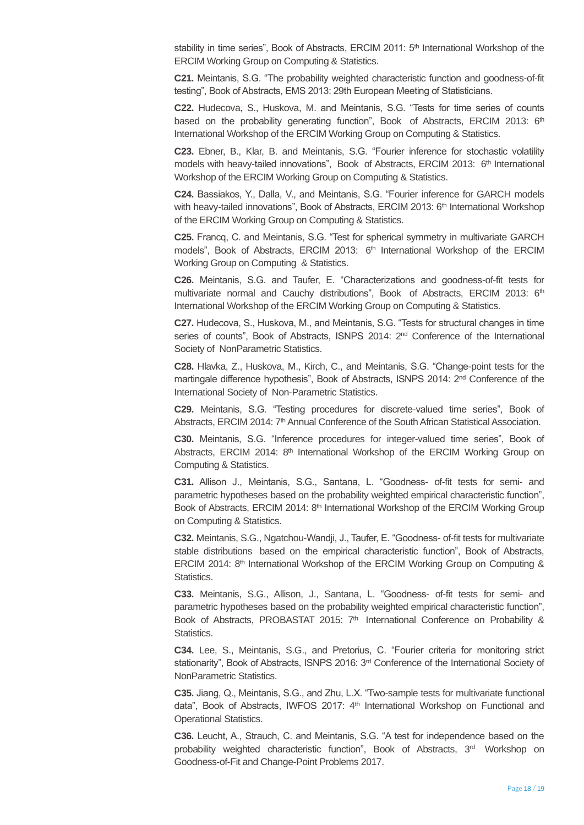stability in time series", Book of Abstracts, ERCIM 2011: 5<sup>th</sup> International Workshop of the ERCIM Working Group on Computing & Statistics.

**C21.** Meintanis, S.G. "The probability weighted characteristic function and goodness-of-fit testing", Book of Abstracts, EMS 2013: 29th European Meeting of Statisticians.

**C22.** Hudecova, S., Huskova, M. and Meintanis, S.G. "Tests for time series of counts based on the probability generating function", Book of Abstracts, ERCIM 2013: 6<sup>th</sup> International Workshop of the ERCIM Working Group on Computing & Statistics.

**C23.** Ebner, B., Klar, B. and Meintanis, S.G. "Fourier inference for stochastic volatility models with heavy-tailed innovations", Book of Abstracts, ERCIM 2013: 6<sup>th</sup> International Workshop of the ERCIM Working Group on Computing & Statistics.

**C24.** Bassiakos, Y., Dalla, V., and Meintanis, S.G. "Fourier inference for GARCH models with heavy-tailed innovations", Book of Abstracts, ERCIM 2013: 6<sup>th</sup> International Workshop of the ERCIM Working Group on Computing & Statistics.

**C25.** Francq, C. and Meintanis, S.G. "Test for spherical symmetry in multivariate GARCH models", Book of Abstracts, ERCIM 2013: 6<sup>th</sup> International Workshop of the ERCIM Working Group on Computing & Statistics.

**C26.** Meintanis, S.G. and Taufer, E. "Characterizations and goodness-of-fit tests for multivariate normal and Cauchy distributions", Book of Abstracts, ERCIM 2013: 6<sup>th</sup> International Workshop of the ERCIM Working Group on Computing & Statistics.

**C27.** Hudecova, S., Huskova, M., and Meintanis, S.G. "Tests for structural changes in time series of counts", Book of Abstracts, ISNPS 2014: 2<sup>nd</sup> Conference of the International Society of NonParametric Statistics.

**C28.** Hlavka, Z., Huskova, M., Kirch, C., and Meintanis, S.G. "Change-point tests for the martingale difference hypothesis", Book of Abstracts, ISNPS 2014: 2<sup>nd</sup> Conference of the International Society of Non-Parametric Statistics.

**C29.** Meintanis, S.G. "Testing procedures for discrete-valued time series", Book of Abstracts, ERCIM 2014: 7<sup>th</sup> Annual Conference of the South African Statistical Association.

**C30.** Meintanis, S.G. "Inference procedures for integer-valued time series", Book of Abstracts, ERCIM 2014:  $8<sup>th</sup>$  International Workshop of the ERCIM Working Group on Computing & Statistics.

**C31.** Allison J., Meintanis, S.G., Santana, L. "Goodness- of-fit tests for semi- and parametric hypotheses based on the probability weighted empirical characteristic function", Book of Abstracts, ERCIM 2014: 8<sup>th</sup> International Workshop of the ERCIM Working Group on Computing & Statistics.

**C32.** Meintanis, S.G., Ngatchou-Wandji, J., Taufer, E. "Goodness- of-fit tests for multivariate stable distributions based on the empirical characteristic function", Book of Abstracts, ERCIM 2014: 8th International Workshop of the ERCIM Working Group on Computing & Statistics.

**C33.** Meintanis, S.G., Allison, J., Santana, L. "Goodness- of-fit tests for semi- and parametric hypotheses based on the probability weighted empirical characteristic function", Book of Abstracts, PROBASTAT 2015:  $7<sup>th</sup>$  International Conference on Probability & Statistics.

**C34.** Lee, S., Meintanis, S.G., and Pretorius, C. "Fourier criteria for monitoring strict stationarity", Book of Abstracts, ISNPS 2016: 3<sup>rd</sup> Conference of the International Society of NonParametric Statistics.

**C35.** Jiang, Q., Meintanis, S.G., and Zhu, L.X. "Two-sample tests for multivariate functional data", Book of Abstracts, IWFOS 2017:  $4<sup>th</sup>$  International Workshop on Functional and Operational Statistics.

**C36.** Leucht, A., Strauch, C. and Meintanis, S.G. "A test for independence based on the probability weighted characteristic function", Book of Abstracts,  $3<sup>rd</sup>$  Workshop on Goodness-of-Fit and Change-Point Problems 2017.